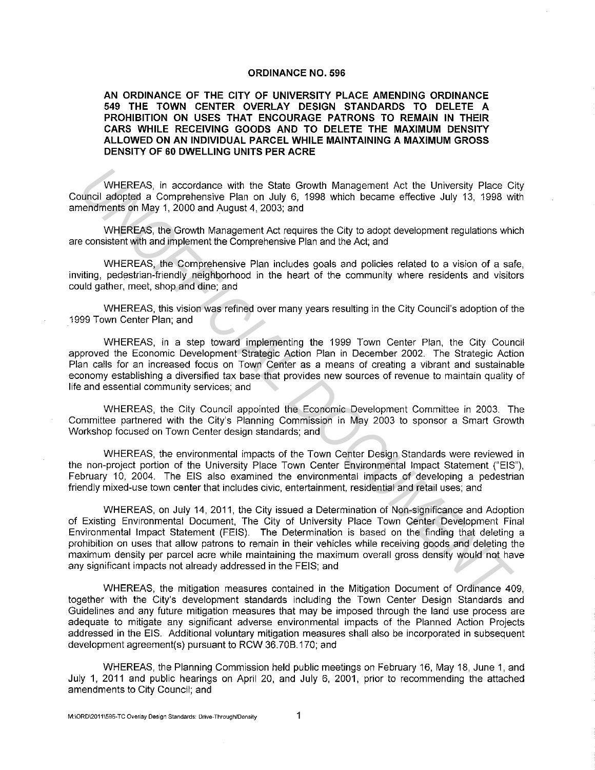## ORDINANCE NO. 596

AN ORDINANCE OF THE CITY OF UNIVERSITY PLACE AMENDING ORDINANCE 549 THE TOWN CENTER OVERLAY DESIGN STANDARDS TO DELETE A PROHIBITION ON USES THAT ENCOURAGE PATRONS TO REMAIN IN THEIR CARS WHILE RECEIVING GOODS AND TO DELETE THE MAXIMUM DENSITY ALLOWED ON AN INDIVIDUAL PARCEL WHILE MAINTAINING A MAXIMUM GROSS DENSITY OF 60 DWELLING UNITS PER ACRE

WHEREAS, in accordance with the State Growth Management Act the University Place City Council adopted a Comprehensive Plan on July 6, 1998 which became effective July 13, 1998 with amendments on May 1, 2000 and August 4, 2003; and

WHEREAS, the Growth Management Act requires the City to adopt development regulations which are consistent with and implement the Comprehensive Plan and the Act; and

WHEREAS, the Comprehensive Plan includes goals and policies related to a vision of a safe, inviting, pedestrian-friendly neighborhood in the heart of the community where residents and visitors could gather, meet, shop and dine; and

WHEREAS, this vision was refined over many years resulting in the City Council's adoption of the 1999 Town Center Plan; and

WHEREAS, in a step toward implementing the 1999 Town Center Plan, the City Council approved the Economic Development Strategic Action Plan in December 2002. The Strategic Action Plan calls for an increased focus on Town Center as a means of creating a vibrant and sustainable economy establishing a diversified tax base that provides new sources of revenue to maintain quality of life and essential community services; and

WHEREAS, the City Council appointed the Economic Development Committee in 2003. The Committee partnered with the City's Planning Commission in May 2003 to sponsor a Smart Growth Workshop focused on Town Center design standards; and

WHEREAS, the environmental impacts of the Town Center Design Standards were reviewed in the non-project portion of the University Place Town Center Environmental Impact Statement ("EIS"), February 10, 2004. The EIS also examined the environmental impacts of developing a pedestrian friendly mixed-use town center that includes civic, entertainment, residential and retail uses; and

WHEREAS, on July 14, 2011, the City issued a Determination of Non-significance and Adoption of Existing Environmental Document, The City of University Place Town Center Development Final Environmental Impact Statement (FEIS). The Determination is based on the finding that deleting a prohibition on uses that allow patrons to remain in their vehicles while receiving goods and deleting the maximum density per parcel acre while maintaining the maximum overall gross density would not have any significant impacts not already addressed in the FEIS; and WHEREAS, in accordance with the State Growth Management Act the University Place Competiences<br>
Denemance of Competiences Plan on July 6, 1998 which became effective July 13, 1998 were<br>
nendments of May 1, 2000 and August 4

WHEREAS, the mitigation measures contained in the Mitigation Document of Ordinance 409, together with the City's development standards including the Town Center Design Standards and Guidelines and any future mitigation measures that may be imposed through the land use process are adequate to mitigate any significant adverse environmental impacts of the Planned Action Projects addressed in the EIS. Additional voluntary mitigation measures shall also be incorporated in subsequent development agreement(s) pursuant to RCW 36. 708.170; and

WHEREAS, the Planning Commission held public meetings on February 16, May 18, June 1, and July 1, 2011 and public hearings on April 20, and July 6, 2001, prior to recommending the attached amendments to City Council; and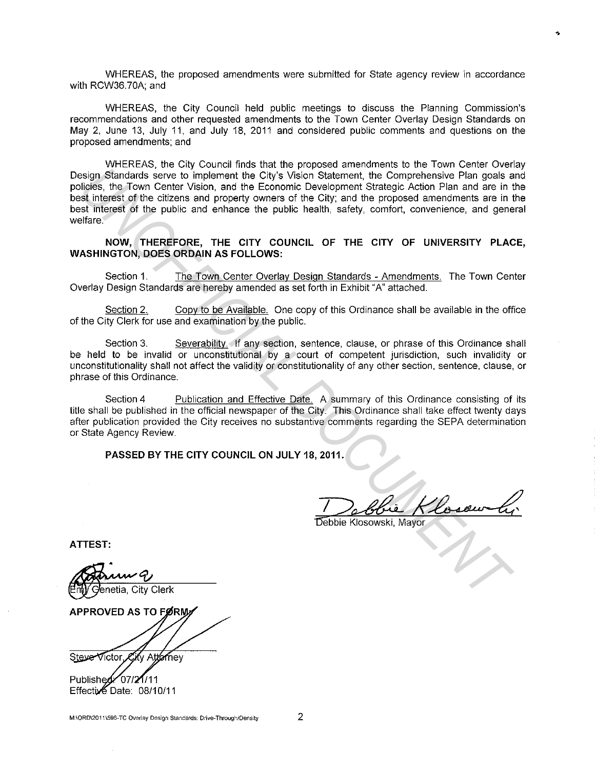WHEREAS, the proposed amendments were submitted for State agency review in accordance with RCW36.70A; and

WHEREAS, the City Council held public meetings to discuss the Planning Commission's recommendations and other requested amendments to the Town Center Overlay Design Standards on May 2, June 13, July 11, and July 18, 2011 and considered public comments and questions on the proposed amendments; and

WHEREAS, the City Council finds that the proposed amendments to the Town Center Overlay Design Standards serve to implement the City's Vision Statement, the Comprehensive Plan goals and policies, the Town Center Vision, and the Economic Development Strategic Action Plan and are in the best interest of the citizens and property owners of the City; and the proposed amendments are in the best interest of the public and enhance the public health, safety, comfort, convenience, and general welfare. **Example Show the City Section 3.**<br> **Example Show Completes the City Vision Salemont. The Comparison of the City Section Plan and a example in Fig. 10.1<br>
<b>Universet of the city of the City and the Economic Development Stra** 

**NOW, THEREFORE, THE CITY COUNCIL OF THE CITY OF UNIVERSITY PLACE, WASHINGTON, DOES ORDAIN AS FOLLOWS:** 

Section 1. The Town Center Overlay Design Standards - Amendments. The Town Center Overlay Design Standards are hereby amended as set forth in Exhibit "A" attached.

Section 2. Copy to be Available. One copy of this Ordinance shall be available in the office of the City Clerk for use and examination by the public.

Section 3. Severability. If any section, sentence, clause, or phrase of this Ordinance shall be held to be invalid or unconstitutional by a court of competent jurisdiction, such invalidity or unconstitutionality shall not affect the validity or constitutionality of any other section, sentence, clause, or phrase of this Ordinance.

Section 4 Publication and Effective Date. A summary of this Ordinance consisting of its title shall be published in the official newspaper of the City. This Ordinance shall take effect twenty days after publication provided the City receives no substantive comments regarding the SEPA determination or State Agency Review.

**PASSED BY THE CITY COUNCIL ON JULY 18, 2011.** 

**ATTEST:** 

APPROVED AS TO FØRM Steve Victor City Attorney

Published:  $207/27/11$ Effective Date: 08/10/11